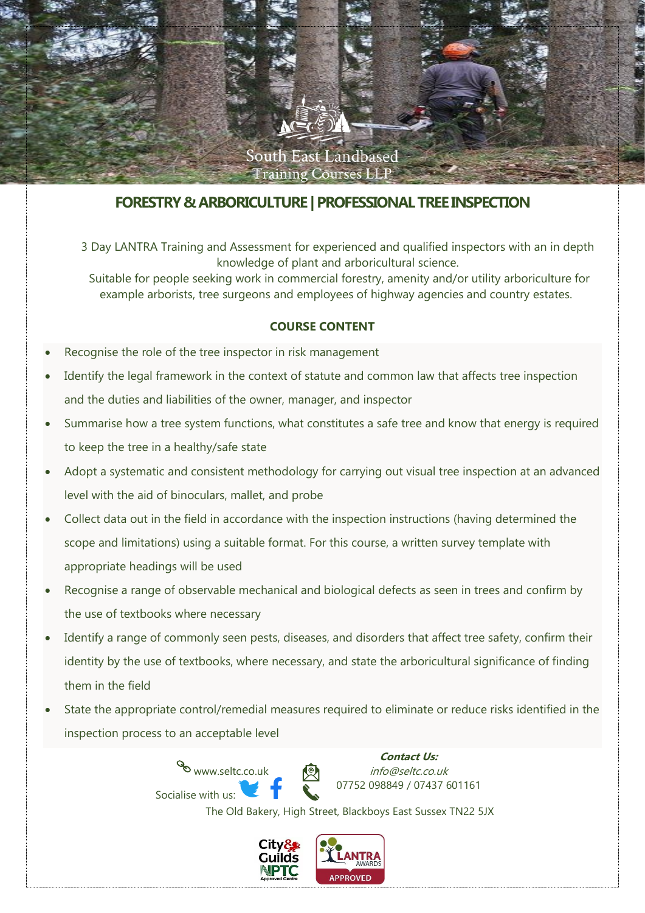

# **FORESTRY & ARBORICULTURE | PROFESSIONALTREE INSPECTION**

3 Day LANTRA Training and Assessment for experienced and qualified inspectors with an in depth knowledge of plant and arboricultural science.

Suitable for people seeking work in commercial forestry, amenity and/or utility arboriculture for example arborists, tree surgeons and employees of highway agencies and country estates.

## **COURSE CONTENT**

- Recognise the role of the tree inspector in risk management
- Identify the legal framework in the context of statute and common law that affects tree inspection and the duties and liabilities of the owner, manager, and inspector
- Summarise how a tree system functions, what constitutes a safe tree and know that energy is required to keep the tree in a healthy/safe state
- Adopt a systematic and consistent methodology for carrying out visual tree inspection at an advanced level with the aid of binoculars, mallet, and probe
- Collect data out in the field in accordance with the inspection instructions (having determined the scope and limitations) using a suitable format. For this course, a written survey template with appropriate headings will be used
- Recognise a range of observable mechanical and biological defects as seen in trees and confirm by the use of textbooks where necessary
- Identify a range of commonly seen pests, diseases, and disorders that affect tree safety, confirm their identity by the use of textbooks, where necessary, and state the arboricultural significance of finding them in the field
- State the appropriate control/remedial measures required to eliminate or reduce risks identified in the inspection process to an acceptable level

www.seltc.co.uk Socialise with us:

**Contact Us:** info@seltc.co.uk 07752 098849 / 07437 601161

The Old Bakery, High Street, Blackboys East Sussex TN22 5JX